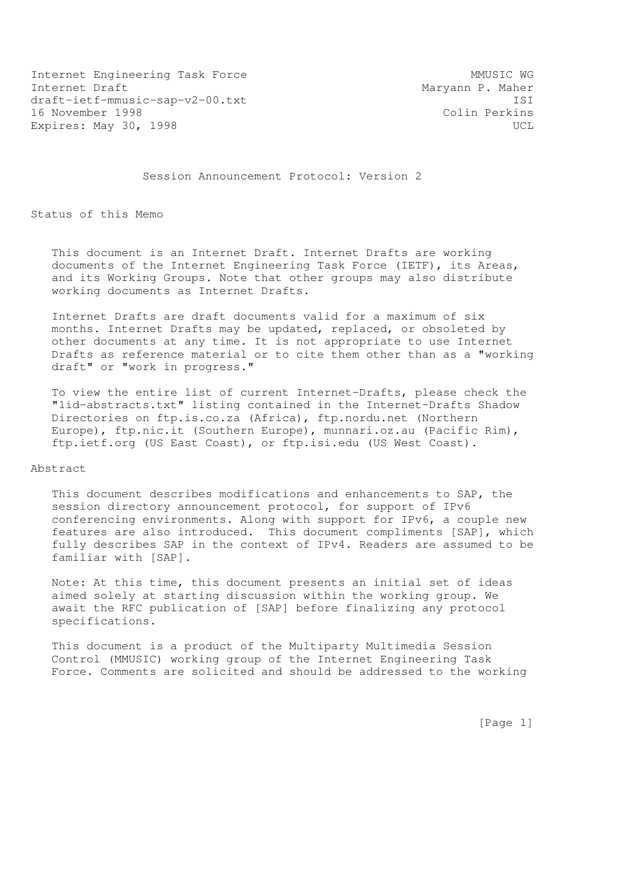Internet Engineering Task Force MMUSIC WG Internet Draft Maryann P. Maher draft-ietf-mmusic-sap-v2-00.txt ISI 16 November 1998 Colin Perkins Expires: May 30, 1998 UCL

Session Announcement Protocol: Version 2

Status of this Memo

 This document is an Internet Draft. Internet Drafts are working documents of the Internet Engineering Task Force (IETF), its Areas, and its Working Groups. Note that other groups may also distribute working documents as Internet Drafts.

 Internet Drafts are draft documents valid for a maximum of six months. Internet Drafts may be updated, replaced, or obsoleted by other documents at any time. It is not appropriate to use Internet Drafts as reference material or to cite them other than as a "working draft" or "work in progress."

 To view the entire list of current Internet-Drafts, please check the "1id-abstracts.txt" listing contained in the Internet-Drafts Shadow Directories on ftp.is.co.za (Africa), ftp.nordu.net (Northern Europe), ftp.nic.it (Southern Europe), munnari.oz.au (Pacific Rim), ftp.ietf.org (US East Coast), or ftp.isi.edu (US West Coast).

Abstract

 This document describes modifications and enhancements to SAP, the session directory announcement protocol, for support of IPv6 conferencing environments. Along with support for IPv6, a couple new features are also introduced. This document compliments [SAP], which fully describes SAP in the context of IPv4. Readers are assumed to be familiar with [SAP].

 Note: At this time, this document presents an initial set of ideas aimed solely at starting discussion within the working group. We await the RFC publication of [SAP] before finalizing any protocol specifications.

 This document is a product of the Multiparty Multimedia Session Control (MMUSIC) working group of the Internet Engineering Task Force. Comments are solicited and should be addressed to the working

[Page 1]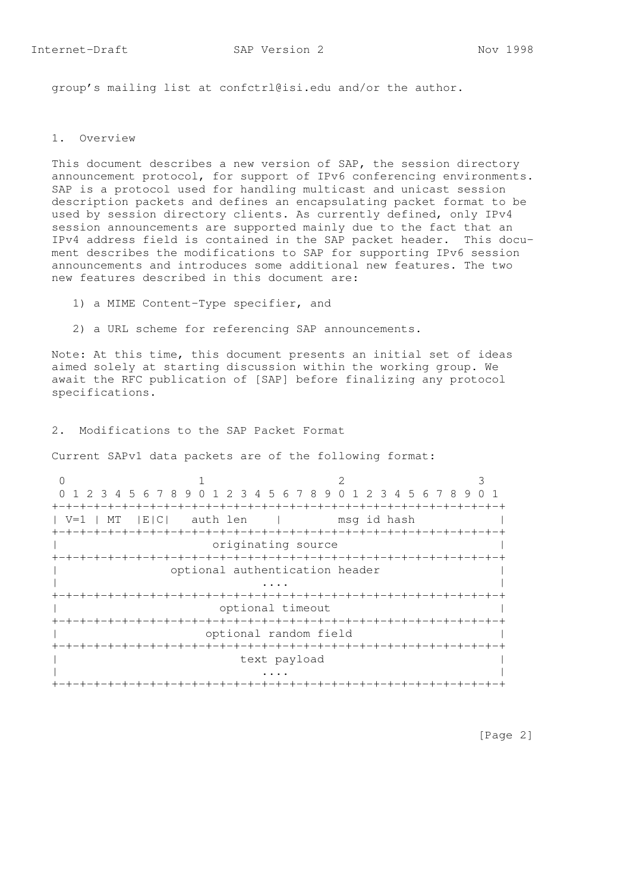group's mailing list at confctrl@isi.edu and/or the author.

#### 1. Overview

 This document describes a new version of SAP, the session directory announcement protocol, for support of IPv6 conferencing environments. SAP is a protocol used for handling multicast and unicast session description packets and defines an encapsulating packet format to be used by session directory clients. As currently defined, only IPv4 session announcements are supported mainly due to the fact that an IPv4 address field is contained in the SAP packet header. This docu ment describes the modifications to SAP for supporting IPv6 session announcements and introduces some additional new features. The two new features described in this document are:

- 1) a MIME Content-Type specifier, and
- 2) a URL scheme for referencing SAP announcements.

 Note: At this time, this document presents an initial set of ideas aimed solely at starting discussion within the working group. We await the RFC publication of [SAP] before finalizing any protocol specifications.

2. Modifications to the SAP Packet Format

Current SAPv1 data packets are of the following format:

|                                | 0 1 2 3 4 5 6 7 8 9 0 1 2 3 4 5 6 7 8 9 0 1 2 3 4 5 6 7 8 9 |                             |  |  |  |
|--------------------------------|-------------------------------------------------------------|-----------------------------|--|--|--|
|                                | -+-+-+-+-+-+-+-+-+-+-+-+-+-+-                               |                             |  |  |  |
| MT<br>$V = 1$                  |                                                             | E C  auth len   msg id hash |  |  |  |
|                                |                                                             |                             |  |  |  |
| originating source             |                                                             |                             |  |  |  |
|                                |                                                             |                             |  |  |  |
| optional authentication header |                                                             |                             |  |  |  |
|                                |                                                             |                             |  |  |  |
|                                |                                                             |                             |  |  |  |
|                                | optional timeout                                            |                             |  |  |  |
|                                |                                                             |                             |  |  |  |
|                                |                                                             | optional random field       |  |  |  |
|                                |                                                             |                             |  |  |  |
|                                |                                                             | text payload                |  |  |  |
|                                |                                                             |                             |  |  |  |
|                                |                                                             |                             |  |  |  |

[Page 2]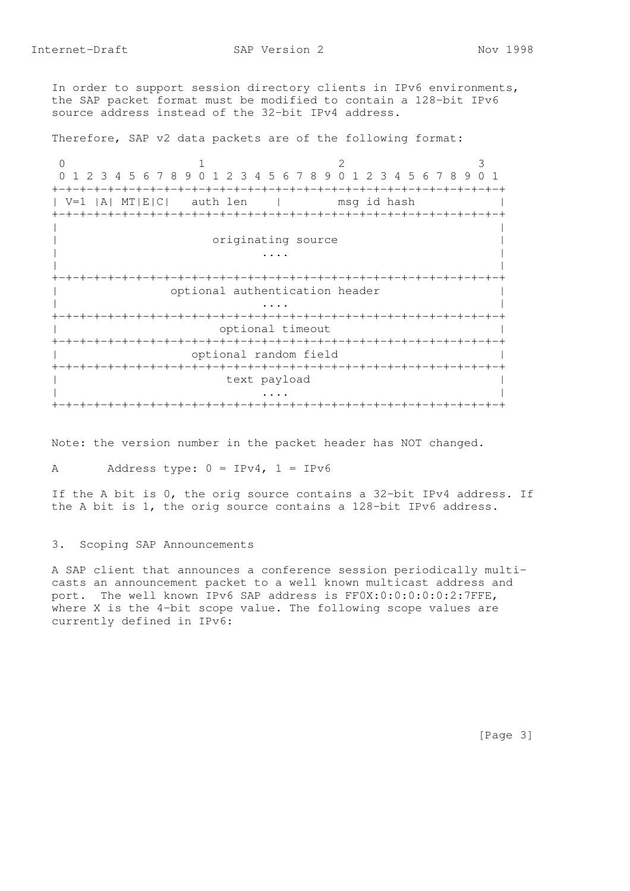In order to support session directory clients in IPv6 environments, the SAP packet format must be modified to contain a 128-bit IPv6 source address instead of the 32-bit IPv4 address.

Therefore, SAP v2 data packets are of the following format:

0  $1$  2 3 0 1 2 3 4 5 6 7 8 9 0 1 2 3 4 5 6 7 8 9 0 1 2 3 4 5 6 7 8 9 0 1 +-+-+-+-+-+-+-+-+-+-+-+-+-+-+-+-+-+-+-+-+-+-+-+-+-+-+-+-+-+-+-+-+ | V=1 |A| MT|E|C| auth len | msg id hash | +-+-+-+-+-+-+-+-+-+-+-+-+-+-+-+-+-+-+-+-+-+-+-+-+-+-+-+-+-+-+-+-+ | | originating source | ... | ... | ... | ... | ... | ... | ... | ... | ... | ... | ... | ... | ... | ... | ... | ... | ... | ... | 1 | | +-+-+-+-+-+-+-+-+-+-+-+-+-+-+-+-+-+-+-+-+-+-+-+-+-+-+-+-+-+-+-+-+ | optional authentication header | | ... | ... | ... | ... | ... | ... | ... | ... | ... | ... | ... | ... | ... | ... | ... | ... | ... | ... | 1 +-+-+-+-+-+-+-+-+-+-+-+-+-+-+-+-+-+-+-+-+-+-+-+-+-+-+-+-+-+-+-+-+ optional timeout +-+-+-+-+-+-+-+-+-+-+-+-+-+-+-+-+-+-+-+-+-+-+-+-+-+-+-+-+-+-+-+-+ optional random field +-+-+-+-+-+-+-+-+-+-+-+-+-+-+-+-+-+-+-+-+-+-+-+-+-+-+-+-+-+-+-+-+ text payload | ... | ... | ... | ... | ... | ... | ... | ... | ... | ... | ... | ... | ... | ... | ... | ... | ... | ... | 1 +-+-+-+-+-+-+-+-+-+-+-+-+-+-+-+-+-+-+-+-+-+-+-+-+-+-+-+-+-+-+-+-+

Note: the version number in the packet header has NOT changed.

A Address type:  $0 = IPv4$ ,  $1 = IPv6$ 

 If the A bit is 0, the orig source contains a 32-bit IPv4 address. If the A bit is 1, the orig source contains a 128-bit IPv6 address.

3. Scoping SAP Announcements

 A SAP client that announces a conference session periodically multi casts an announcement packet to a well known multicast address and port. The well known IPv6 SAP address is FF0X:0:0:0:0:0:2:7FFE, where X is the 4-bit scope value. The following scope values are currently defined in IPv6:

[Page 3]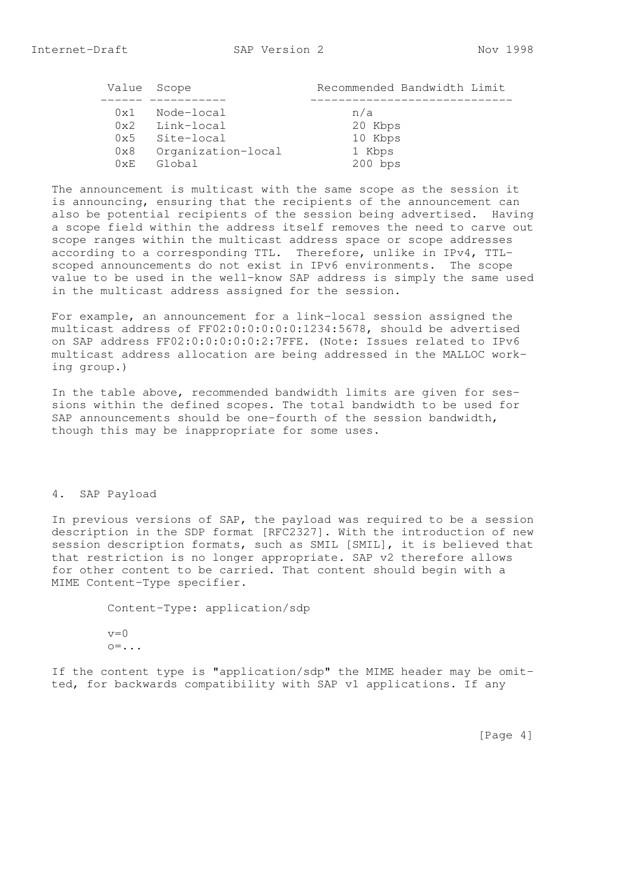|              | Value Scope        | Recommended Bandwidth Limit |
|--------------|--------------------|-----------------------------|
| $0 \times 1$ | Node-local         | n/a                         |
|              | 0x2 Link-local     | 20 Kbps                     |
|              | 0x5 Site-local     | 10 Kbps                     |
| 0x8          | Organization-local | 1 Kbps                      |
| 0xE          | Global             | $200$ bps                   |

 The announcement is multicast with the same scope as the session it is announcing, ensuring that the recipients of the announcement can also be potential recipients of the session being advertised. Having a scope field within the address itself removes the need to carve out scope ranges within the multicast address space or scope addresses according to a corresponding TTL. Therefore, unlike in IPv4, TTL scoped announcements do not exist in IPv6 environments. The scope value to be used in the well-know SAP address is simply the same used in the multicast address assigned for the session.

 For example, an announcement for a link-local session assigned the multicast address of FF02:0:0:0:0:0:1234:5678, should be advertised on SAP address FF02:0:0:0:0:0:2:7FFE. (Note: Issues related to IPv6 multicast address allocation are being addressed in the MALLOC work ing group.)

 In the table above, recommended bandwidth limits are given for ses sions within the defined scopes. The total bandwidth to be used for SAP announcements should be one-fourth of the session bandwidth, though this may be inappropriate for some uses.

## 4. SAP Payload

 In previous versions of SAP, the payload was required to be a session description in the SDP format [RFC2327]. With the introduction of new session description formats, such as SMIL [SMIL], it is believed that that restriction is no longer appropriate. SAP v2 therefore allows for other content to be carried. That content should begin with a MIME Content-Type specifier.

> Content-Type: application/sdp  $v=0$  $\circ$ =...

 If the content type is "application/sdp" the MIME header may be omit ted, for backwards compatibility with SAP v1 applications. If any

[Page 4]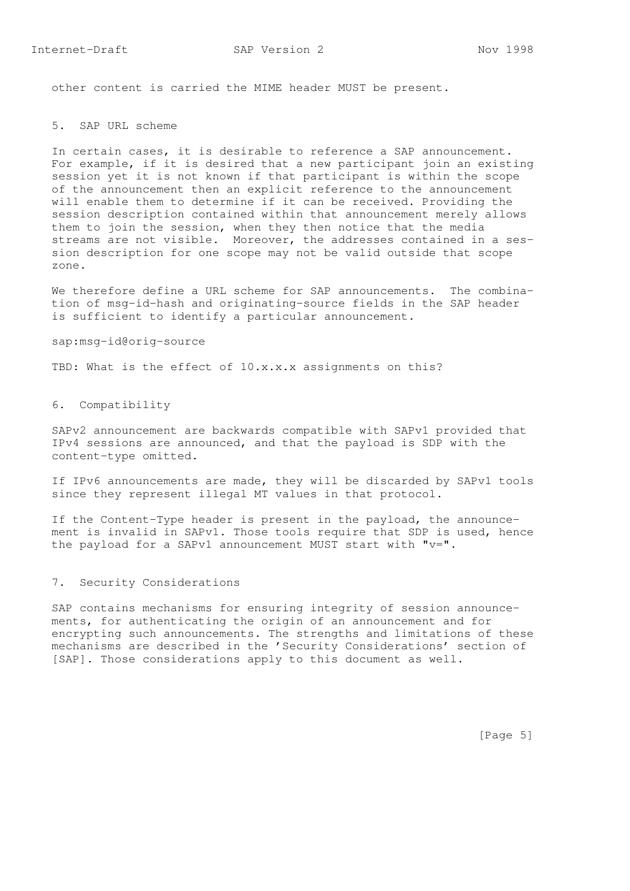other content is carried the MIME header MUST be present.

# 5. SAP URL scheme

 In certain cases, it is desirable to reference a SAP announcement. For example, if it is desired that a new participant join an existing session yet it is not known if that participant is within the scope of the announcement then an explicit reference to the announcement will enable them to determine if it can be received. Providing the session description contained within that announcement merely allows them to join the session, when they then notice that the media streams are not visible. Moreover, the addresses contained in a ses sion description for one scope may not be valid outside that scope zone.

We therefore define a URL scheme for SAP announcements. The combina tion of msg-id-hash and originating-source fields in the SAP header is sufficient to identify a particular announcement.

sap:msg-id@orig-source

TBD: What is the effect of 10.x.x.x assignments on this?

# 6. Compatibility

 SAPv2 announcement are backwards compatible with SAPv1 provided that IPv4 sessions are announced, and that the payload is SDP with the content-type omitted.

 If IPv6 announcements are made, they will be discarded by SAPv1 tools since they represent illegal MT values in that protocol.

 If the Content-Type header is present in the payload, the announce ment is invalid in SAPv1. Those tools require that SDP is used, hence the payload for a SAPv1 announcement MUST start with  $"v="$ .

### 7. Security Considerations

 SAP contains mechanisms for ensuring integrity of session announce ments, for authenticating the origin of an announcement and for encrypting such announcements. The strengths and limitations of these mechanisms are described in the 'Security Considerations' section of [SAP]. Those considerations apply to this document as well.

[Page 5]